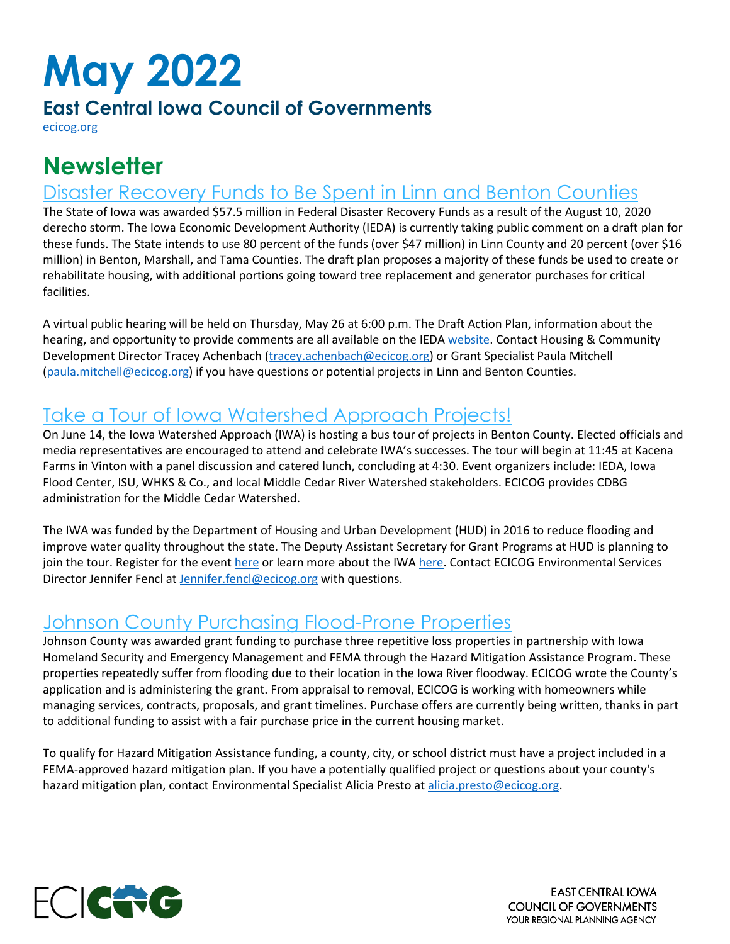# **May 2022**

#### **East Central Iowa Council of Governments**

ecicog.org

# **Newsletter**

#### Disaster Recovery Funds to Be Spent in Linn and Benton Counties

The State of Iowa was awarded \$57.5 million in Federal Disaster Recovery Funds as a result of the August 10, 2020 derecho storm. The Iowa Economic Development Authority (IEDA) is currently taking public comment on a draft plan for these funds. The State intends to use 80 percent of the funds (over \$47 million) in Linn County and 20 percent (over \$16 million) in Benton, Marshall, and Tama Counties. The draft plan proposes a majority of these funds be used to create or rehabilitate housing, with additional portions going toward tree replacement and generator purchases for critical facilities.

A virtual public hearing will be held on Thursday, May 26 at 6:00 p.m. The Draft Action Plan, information about the hearing, and opportunity to provide comments are all available on the IEDA website. Contact Housing & Community Development Director Tracey Achenbach (tracey.achenbach@ecicog.org) or Grant Specialist Paula Mitchell (paula.mitchell@ecicog.org) if you have questions or potential projects in Linn and Benton Counties.

#### Take a Tour of Iowa Watershed Approach Projects!

On June 14, the Iowa Watershed Approach (IWA) is hosting a bus tour of projects in Benton County. Elected officials and media representatives are encouraged to attend and celebrate IWA's successes. The tour will begin at 11:45 at Kacena Farms in Vinton with a panel discussion and catered lunch, concluding at 4:30. Event organizers include: IEDA, Iowa Flood Center, ISU, WHKS & Co., and local Middle Cedar River Watershed stakeholders. ECICOG provides CDBG administration for the Middle Cedar Watershed.

The IWA was funded by the Department of Housing and Urban Development (HUD) in 2016 to reduce flooding and improve water quality throughout the state. The Deputy Assistant Secretary for Grant Programs at HUD is planning to join the tour. Register for the event here or learn more about the IWA here. Contact ECICOG Environmental Services Director Jennifer Fencl at Jennifer.fencl@ecicog.org with questions.

### Johnson County Purchasing Flood-Prone Properties

Johnson County was awarded grant funding to purchase three repetitive loss properties in partnership with Iowa Homeland Security and Emergency Management and FEMA through the Hazard Mitigation Assistance Program. These properties repeatedly suffer from flooding due to their location in the Iowa River floodway. ECICOG wrote the County's application and is administering the grant. From appraisal to removal, ECICOG is working with homeowners while managing services, contracts, proposals, and grant timelines. Purchase offers are currently being written, thanks in part to additional funding to assist with a fair purchase price in the current housing market.

To qualify for Hazard Mitigation Assistance funding, a county, city, or school district must have a project included in a FEMA-approved hazard mitigation plan. If you have a potentially qualified project or questions about your county's hazard mitigation plan, contact Environmental Specialist Alicia Presto at alicia.presto@ecicog.org.



**EAST CENTRAL IOWA COUNCIL OF GOVERNMENTS** YOUR REGIONAL PLANNING AGENCY